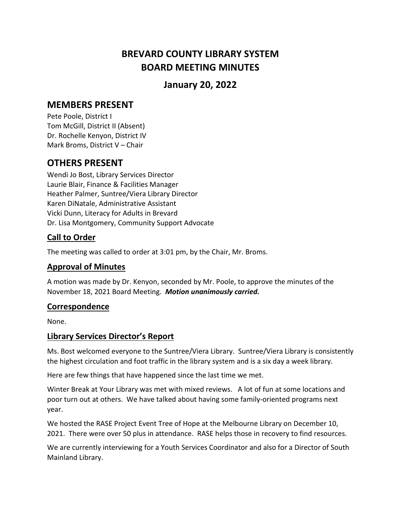# **BREVARD COUNTY LIBRARY SYSTEM BOARD MEETING MINUTES**

## **January 20, 2022**

## **MEMBERS PRESENT**

Pete Poole, District I Tom McGill, District II (Absent) Dr. Rochelle Kenyon, District IV Mark Broms, District V – Chair

## **OTHERS PRESENT**

Wendi Jo Bost, Library Services Director Laurie Blair, Finance & Facilities Manager Heather Palmer, Suntree/Viera Library Director Karen DiNatale, Administrative Assistant Vicki Dunn, Literacy for Adults in Brevard Dr. Lisa Montgomery, Community Support Advocate

### **Call to Order**

The meeting was called to order at 3:01 pm, by the Chair, Mr. Broms.

### **Approval of Minutes**

A motion was made by Dr. Kenyon, seconded by Mr. Poole, to approve the minutes of the November 18, 2021 Board Meeting. *Motion unanimously carried.*

### **Correspondence**

None.

### **Library Services Director's Report**

Ms. Bost welcomed everyone to the Suntree/Viera Library. Suntree/Viera Library is consistently the highest circulation and foot traffic in the library system and is a six day a week library.

Here are few things that have happened since the last time we met.

Winter Break at Your Library was met with mixed reviews. A lot of fun at some locations and poor turn out at others. We have talked about having some family-oriented programs next year.

We hosted the RASE Project Event Tree of Hope at the Melbourne Library on December 10, 2021. There were over 50 plus in attendance. RASE helps those in recovery to find resources.

We are currently interviewing for a Youth Services Coordinator and also for a Director of South Mainland Library.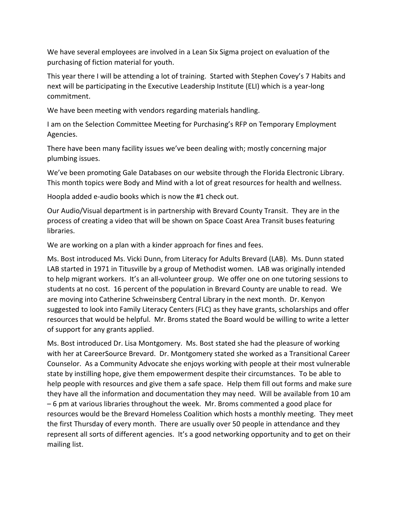We have several employees are involved in a Lean Six Sigma project on evaluation of the purchasing of fiction material for youth.

This year there I will be attending a lot of training. Started with Stephen Covey's 7 Habits and next will be participating in the Executive Leadership Institute (ELI) which is a year-long commitment.

We have been meeting with vendors regarding materials handling.

I am on the Selection Committee Meeting for Purchasing's RFP on Temporary Employment Agencies.

There have been many facility issues we've been dealing with; mostly concerning major plumbing issues.

We've been promoting Gale Databases on our website through the Florida Electronic Library. This month topics were Body and Mind with a lot of great resources for health and wellness.

Hoopla added e-audio books which is now the #1 check out.

Our Audio/Visual department is in partnership with Brevard County Transit. They are in the process of creating a video that will be shown on Space Coast Area Transit buses featuring libraries.

We are working on a plan with a kinder approach for fines and fees.

Ms. Bost introduced Ms. Vicki Dunn, from Literacy for Adults Brevard (LAB). Ms. Dunn stated LAB started in 1971 in Titusville by a group of Methodist women. LAB was originally intended to help migrant workers. It's an all-volunteer group. We offer one on one tutoring sessions to students at no cost. 16 percent of the population in Brevard County are unable to read. We are moving into Catherine Schweinsberg Central Library in the next month. Dr. Kenyon suggested to look into Family Literacy Centers (FLC) as they have grants, scholarships and offer resources that would be helpful. Mr. Broms stated the Board would be willing to write a letter of support for any grants applied.

Ms. Bost introduced Dr. Lisa Montgomery. Ms. Bost stated she had the pleasure of working with her at CareerSource Brevard. Dr. Montgomery stated she worked as a Transitional Career Counselor. As a Community Advocate she enjoys working with people at their most vulnerable state by instilling hope, give them empowerment despite their circumstances. To be able to help people with resources and give them a safe space. Help them fill out forms and make sure they have all the information and documentation they may need. Will be available from 10 am – 6 pm at various libraries throughout the week. Mr. Broms commented a good place for resources would be the Brevard Homeless Coalition which hosts a monthly meeting. They meet the first Thursday of every month. There are usually over 50 people in attendance and they represent all sorts of different agencies. It's a good networking opportunity and to get on their mailing list.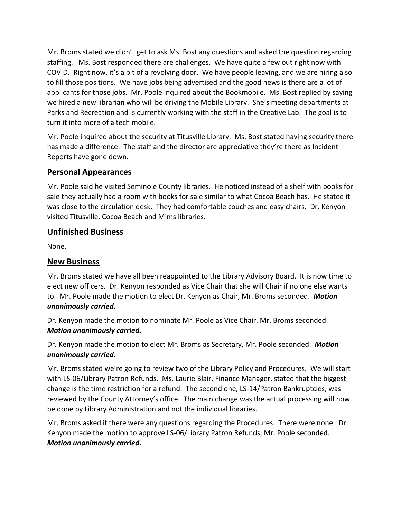Mr. Broms stated we didn't get to ask Ms. Bost any questions and asked the question regarding staffing. Ms. Bost responded there are challenges. We have quite a few out right now with COVID. Right now, it's a bit of a revolving door. We have people leaving, and we are hiring also to fill those positions. We have jobs being advertised and the good news is there are a lot of applicants for those jobs. Mr. Poole inquired about the Bookmobile. Ms. Bost replied by saying we hired a new librarian who will be driving the Mobile Library. She's meeting departments at Parks and Recreation and is currently working with the staff in the Creative Lab. The goal is to turn it into more of a tech mobile.

Mr. Poole inquired about the security at Titusville Library. Ms. Bost stated having security there has made a difference. The staff and the director are appreciative they're there as Incident Reports have gone down.

#### **Personal Appearances**

Mr. Poole said he visited Seminole County libraries. He noticed instead of a shelf with books for sale they actually had a room with books for sale similar to what Cocoa Beach has. He stated it was close to the circulation desk. They had comfortable couches and easy chairs. Dr. Kenyon visited Titusville, Cocoa Beach and Mims libraries.

#### **Unfinished Business**

None.

#### **New Business**

Mr. Broms stated we have all been reappointed to the Library Advisory Board. It is now time to elect new officers. Dr. Kenyon responded as Vice Chair that she will Chair if no one else wants to. Mr. Poole made the motion to elect Dr. Kenyon as Chair, Mr. Broms seconded. *Motion unanimously carried.*

Dr. Kenyon made the motion to nominate Mr. Poole as Vice Chair. Mr. Broms seconded. *Motion unanimously carried.*

Dr. Kenyon made the motion to elect Mr. Broms as Secretary, Mr. Poole seconded. *Motion unanimously carried.*

Mr. Broms stated we're going to review two of the Library Policy and Procedures. We will start with LS-06/Library Patron Refunds. Ms. Laurie Blair, Finance Manager, stated that the biggest change is the time restriction for a refund. The second one, LS-14/Patron Bankruptcies, was reviewed by the County Attorney's office. The main change was the actual processing will now be done by Library Administration and not the individual libraries.

Mr. Broms asked if there were any questions regarding the Procedures. There were none. Dr. Kenyon made the motion to approve LS-06/Library Patron Refunds, Mr. Poole seconded. *Motion unanimously carried.*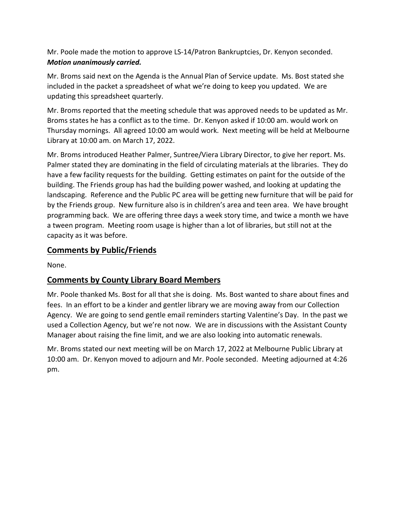Mr. Poole made the motion to approve LS-14/Patron Bankruptcies, Dr. Kenyon seconded. *Motion unanimously carried.*

Mr. Broms said next on the Agenda is the Annual Plan of Service update. Ms. Bost stated she included in the packet a spreadsheet of what we're doing to keep you updated. We are updating this spreadsheet quarterly.

Mr. Broms reported that the meeting schedule that was approved needs to be updated as Mr. Broms states he has a conflict as to the time. Dr. Kenyon asked if 10:00 am. would work on Thursday mornings. All agreed 10:00 am would work. Next meeting will be held at Melbourne Library at 10:00 am. on March 17, 2022.

Mr. Broms introduced Heather Palmer, Suntree/Viera Library Director, to give her report. Ms. Palmer stated they are dominating in the field of circulating materials at the libraries. They do have a few facility requests for the building. Getting estimates on paint for the outside of the building. The Friends group has had the building power washed, and looking at updating the landscaping. Reference and the Public PC area will be getting new furniture that will be paid for by the Friends group. New furniture also is in children's area and teen area. We have brought programming back. We are offering three days a week story time, and twice a month we have a tween program. Meeting room usage is higher than a lot of libraries, but still not at the capacity as it was before.

### **Comments by Public/Friends**

None.

### **Comments by County Library Board Members**

Mr. Poole thanked Ms. Bost for all that she is doing. Ms. Bost wanted to share about fines and fees. In an effort to be a kinder and gentler library we are moving away from our Collection Agency. We are going to send gentle email reminders starting Valentine's Day. In the past we used a Collection Agency, but we're not now. We are in discussions with the Assistant County Manager about raising the fine limit, and we are also looking into automatic renewals.

Mr. Broms stated our next meeting will be on March 17, 2022 at Melbourne Public Library at 10:00 am. Dr. Kenyon moved to adjourn and Mr. Poole seconded. Meeting adjourned at 4:26 pm.